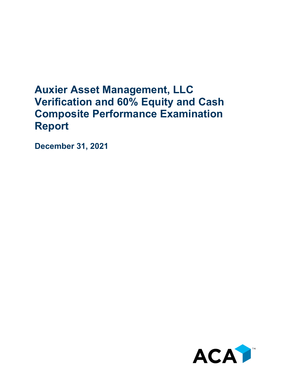## **Auxier Asset Management, LLC Verification and 60% Equity and Cash Composite Performance Examination Report**

**December 31, 2021**

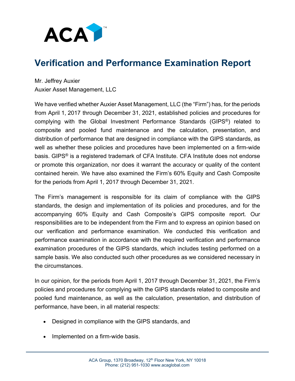

## **Verification and Performance Examination Report**

Mr. Jeffrey Auxier Auxier Asset Management, LLC

We have verified whether Auxier Asset Management, LLC (the "Firm") has, for the periods from April 1, 2017 through December 31, 2021, established policies and procedures for complying with the Global Investment Performance Standards (GIPS®) related to composite and pooled fund maintenance and the calculation, presentation, and distribution of performance that are designed in compliance with the GIPS standards, as well as whether these policies and procedures have been implemented on a firm-wide basis. GIPS® is a registered trademark of CFA Institute. CFA Institute does not endorse or promote this organization, nor does it warrant the accuracy or quality of the content contained herein. We have also examined the Firm's 60% Equity and Cash Composite for the periods from April 1, 2017 through December 31, 2021.

The Firm's management is responsible for its claim of compliance with the GIPS standards, the design and implementation of its policies and procedures, and for the accompanying 60% Equity and Cash Composite's GIPS composite report. Our responsibilities are to be independent from the Firm and to express an opinion based on our verification and performance examination. We conducted this verification and performance examination in accordance with the required verification and performance examination procedures of the GIPS standards, which includes testing performed on a sample basis. We also conducted such other procedures as we considered necessary in the circumstances.

In our opinion, for the periods from April 1, 2017 through December 31, 2021, the Firm's policies and procedures for complying with the GIPS standards related to composite and pooled fund maintenance, as well as the calculation, presentation, and distribution of performance, have been, in all material respects:

- Designed in compliance with the GIPS standards, and
- Implemented on a firm-wide basis.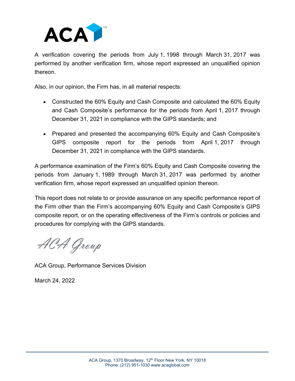

A verification covering the periods from July 1, 1998 through March 31, 2017 was performed by another verification firm, whose report expressed an unqualified opinion thereon.

Also, in our opinion, the Firm has, in all material respects:

- Constructed the 60% Equity and Cash Composite and calculated the 60% Equity and Cash Composite's performance for the periods from April 1, 2017 through December 31, 2021 in compliance with the GIPS standards; and
- Prepared and presented the accompanying 60% Equity and Cash Composite's GIPS composite report for the periods from April 1, 2017 through December 31, 2021 in compliance with the GIPS standards.

A performance examination of the Firm's 60% Equity and Cash Composite covering the periods from January 1, 1989 through March 31, 2017 was performed by another verification firm, whose report expressed an unqualified opinion thereon.

This report does not relate to or provide assurance on any specific performance report of the Firm other than the Firm's accompanying 60% Equity and Cash Composite's GIPS composite report, or on the operating effectiveness of the Firm's controls or policies and procedures for complying with the GIPS standards.

ACA Group

ACA Group, Performance Services Division

March 24, 2022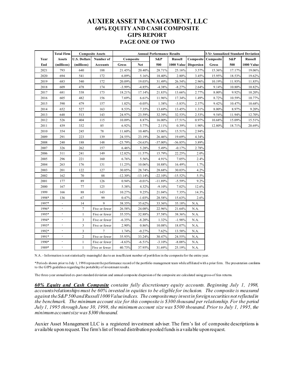## **AUXIER ASSET MANAGEMENT, LLC 60% EQUITY AND CASH COMPOSITE GIPS REPORT PAGE ONE OF TWO**

|       | <b>Total Firm</b>        | <b>Composite Assets</b> |                 | <b>Annual Performance Results</b> |            |           |                |                       | 3-Yr Annualized Standard Deviation |        |                |
|-------|--------------------------|-------------------------|-----------------|-----------------------------------|------------|-----------|----------------|-----------------------|------------------------------------|--------|----------------|
| Year  | <b>Assets</b>            | <b>U.S. Dollars</b>     | Number of       | Composite                         |            | S&P       | <b>Russell</b> |                       | <b>Composite Composite</b>         | S&P    | <b>Russell</b> |
| End   | (millions)               | (millions)              | <b>Accounts</b> | Gross                             | <b>Net</b> | 500       |                | 1000 Value Dispersion | Gross                              | 500    | 1000 Value     |
| 2021  | 793                      | 640                     | 188             | 21.45%                            | 20.40%     | 28.71%    | 25.16%         | 3.57%                 | 15.36%                             | 17.17% | 19.06%         |
| 2020  | 694                      | 541                     | 172             | 6.09%                             | 5.16%      | 18.40%    | 2.80%          | 3.45%                 | 15.95%                             | 18.53% | 19.62%         |
| 2019  | 683                      | 540                     | 172             | 20.09%                            | 19.03%     | 31.49%    | 26.54%         | 2.96%                 | 10.19%                             | 11.93% | 11.85%         |
| 2018  | 609                      | 478                     | 174             | $-3.99%$                          | $-4.85%$   | $-4.38%$  | $-8.27%$       | 2.64%                 | 9.14%                              | 10.80% | 10.82%         |
| 2017  | 681                      | 538                     | 173             | 18.21%                            | 17.14%     | 21.83%    | 13.66%         | 2.77%                 | 8.00%                              | 9.92%  | 10.20%         |
| 2016  | 605                      | 482                     | 156             | 7.69%                             | 6.61%      | 11.96%    | 17.34%         | 1.49%                 | 8.72%                              | 10.59% | 10.77%         |
| 2015  | 590                      | 479                     | 157             | 1.02%                             | $-0.05%$   | 1.38%     | $-3.83%$       | 2.37%                 | 9.42%                              | 10.47% | 10.68%         |
| 2014  | 652                      | 527                     | 163             | 8.53%                             | 7.35%      | 13.69%    | 13.45%         | 1.31%                 | 8.00%                              | 8.97%  | 9.20%          |
| 2013  | 648                      | 513                     | 143             | 24.97%                            | 23.59%     | 32.39%    | 32.53%         | 2.53%                 | 9.54%                              | 11.94% | 12.70%         |
| 2012  | 526                      | 404                     | 115             | 10.09%                            | 8.87%      | 16.00%    | 17.51%         | 0.97%                 | 10.68%                             | 15.09% | 15.51%         |
| 2011  | 439                      | 332                     | 85              | 6.92%                             | 5.77%      | 2.11%     | 0.39%          | 1.90%                 | 12.80%                             | 18.71% | 20.69%         |
| 2010  | 354                      | 245                     | 78              | 11.60%                            | 10.40%     | 15.06%    | 15.51%         | 2.94%                 |                                    |        |                |
| 2009  | 291                      | 223                     | 139             | 24.55%                            | 23.19%     | 26.46%    | 19.69%         | 4.34%                 |                                    |        |                |
| 2008  | 240                      | 188                     | 148             | $-23.79%$                         | $-24.63%$  | $-37.00%$ | $-36.85%$      | 3.89%                 |                                    |        |                |
| 2007  | 326                      | 262                     | 157             | 6.46%                             | 5.28%      | 5.49%     | $-0.17%$       | 2.78%                 |                                    |        |                |
| 2006  | 311                      | 241                     | 149             | 12.82%                            | 11.57%     | 15.79%    | 22.25%         | 2.0%                  |                                    |        |                |
| 2005  | 296                      | 221                     | 160             | 6.76%                             | 5.56%      | 4.91%     | 7.05%          | 2.4%                  |                                    |        |                |
| 2004  | 263                      | 176                     | 131             | 11.25%                            | 10.06%     | 10.88%    | 16.49%         | 1.7%                  |                                    |        |                |
| 2003  | 201                      | 122                     | 127             | 30.05%                            | 28.74%     | 28.68%    | 30.03%         | 4.2%                  |                                    |        |                |
| 2002  | 162                      | 70                      | 88              | $-12.30%$                         | $-13.14%$  | $-22.10%$ | $-15.52%$      | 5.5%                  |                                    |        |                |
| 2001  | 177                      | 89                      | 126             | 0.94%                             | $-0.01%$   | $-11.89%$ | $-5.59%$       | 9.2%                  |                                    |        |                |
| 2000  | 167                      | 77                      | 125             | 5.38%                             | 4.32%      | $-9.10%$  | 7.02%          | 12.6%                 |                                    |        |                |
| 1999  | 166                      | 88                      | 143             | 10.27%                            | 9.25%      | 21.04%    | 7.35%          | 14.3%                 |                                    |        |                |
| 1998* | 136                      | 67                      | 99              | 0.47%                             | $-1.03%$   | 28.58%    | 15.63%         | 2.6%                  |                                    |        |                |
| 1997* | $\blacksquare$           | 14                      | $\mathbf{q}$    | 38.35%                            | 35.62%     | 33.36%    | 35.18%         | N.A.                  |                                    |        |                |
| 1996* | $\blacksquare$           | 7                       | Five or fewer   | 26.58%                            | 24.08%     | 22.96%    | 21.64%         | N.A.                  |                                    |        |                |
| 1995* | $\blacksquare$           | $\mathbf{1}$            | Five or fewer   | 35.55%                            | 32.88%     | 37.58%    | 38.36%         | N.A.                  |                                    |        |                |
| 1994* | $\overline{\phantom{a}}$ | 3                       | Five or fewer   | $-6.35%$                          | $-8.20%$   | 1.32%     | $-1.98%$       | N.A.                  |                                    |        |                |
| 1993* | $\blacksquare$           | 3                       | Five or fewer   | 2.90%                             | 0.86%      | 10.08%    | 18.07%         | N.A.                  |                                    |        |                |
| 1992* | $\overline{\phantom{a}}$ | 3                       | $\overline{7}$  | 1.74%                             | $-0.27%$   | 7.62%     | 13.58%         | N.A.                  |                                    |        |                |
| 1991* | $\blacksquare$           | $\overline{c}$          | Five or fewer   | 35.93%                            | 33.24%     | 30.47%    | 24.55%         | N.A.                  |                                    |        |                |
| 1990* | $\blacksquare$           | $\mathbf{1}$            | Five or fewer   | $-4.63%$                          | $-6.51%$   | $-3.10%$  | $-8.08%$       | N.A.                  |                                    |        |                |
| 1989* | $\overline{\phantom{a}}$ | $\mathbf{1}$            | Five or fewer   | 40.73%                            | 37.95%     | 31.69%    | 25.19%         | N.A.                  |                                    |        |                |

N.A. - Information is not statistically meaningful due to an insufficient number of portfolios in the composite for the entire year.

\*Periods shown prior to July 1, 1998 represent the performance record of the portfolio management team while affiliated with a prior firm. The presentation conforms to the GIPS guidelines regarding the portability of investment results.

The three-year annualized ex-post standard deviation and annual composite dispersion of the composite are calculated using gross-of fees returns.

*60% Equity and Cash Composite contains fully discretionary equity accounts. Beginning July 1, 1998, accounts/relationships must be 60% invested in equities to be eligible for inclusion. The composite is measured against the S&P 500 and Russell 1000 Value indices. The composite may invest in foreign securities not reflectedin the benchmark. The minimum account size for this composite is \$300 thousand per relationship. For the period July 1, 1995 through June 30, 1998, the minimum account size was \$500 thousand. Prior to July 1, 1995, the minimum accountsize was \$300 thousand.*

Auxier Asset Management LLC is a registered investment adviser. The firm's list of composite descriptions is available upon request. The firm's list of broad distribution pooled funds is available upon request.